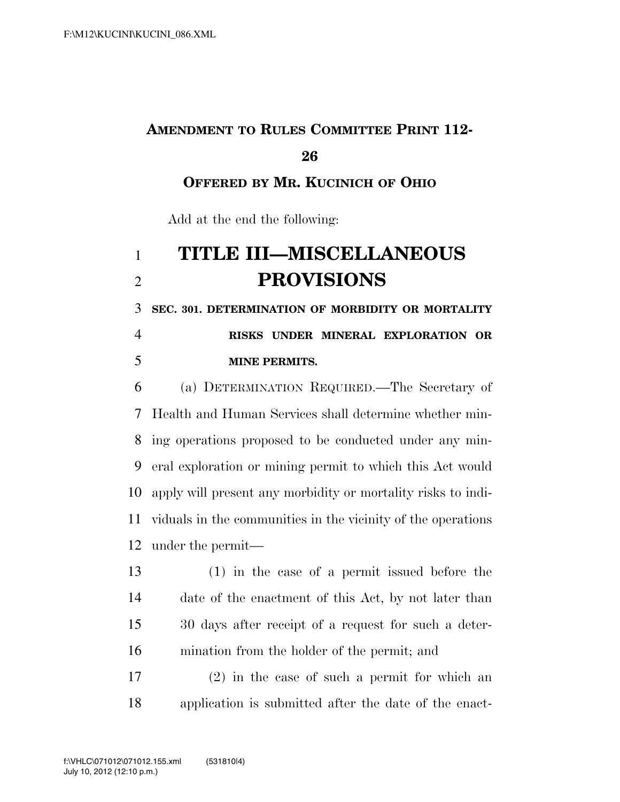# **AMENDMENT TO RULES COMMITTEE PRINT 112-**

#### 

**OFFERED BY MR. KUCINICH OF OHIO**

Add at the end the following:

## **TITLE III—MISCELLANEOUS PROVISIONS**

 **SEC. 301. DETERMINATION OF MORBIDITY OR MORTALITY RISKS UNDER MINERAL EXPLORATION OR** 

#### **MINE PERMITS.**

 (a) DETERMINATION REQUIRED.—The Secretary of Health and Human Services shall determine whether min- ing operations proposed to be conducted under any min- eral exploration or mining permit to which this Act would apply will present any morbidity or mortality risks to indi- viduals in the communities in the vicinity of the operations under the permit—

 (1) in the case of a permit issued before the date of the enactment of this Act, by not later than 30 days after receipt of a request for such a deter-mination from the holder of the permit; and

 (2) in the case of such a permit for which an application is submitted after the date of the enact-